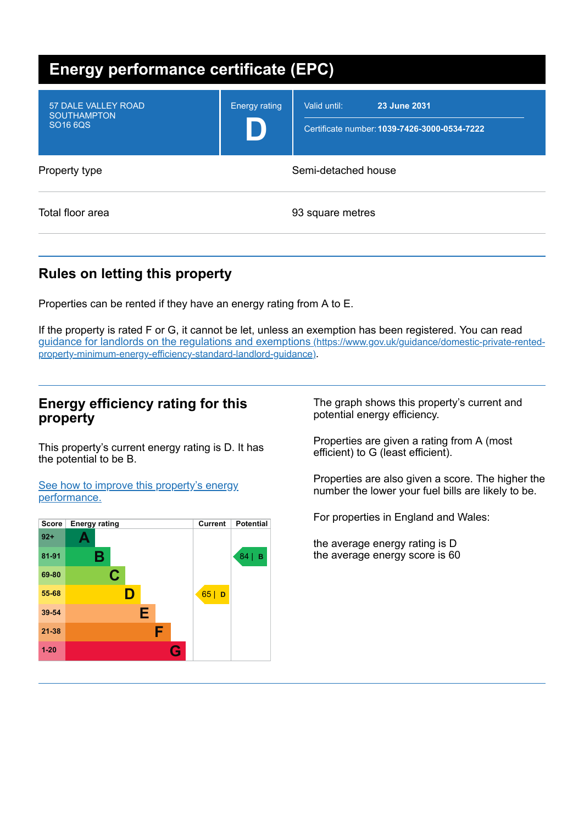| <b>Energy performance certificate (EPC)</b>                              |                      |                                                                              |  |
|--------------------------------------------------------------------------|----------------------|------------------------------------------------------------------------------|--|
| <b>57 DALE VALLEY ROAD</b><br><b>SOUTHAMPTON</b><br>SO <sub>16</sub> 6QS | <b>Energy rating</b> | 23 June 2031<br>Valid until:<br>Certificate number: 1039-7426-3000-0534-7222 |  |
| Property type                                                            | Semi-detached house  |                                                                              |  |
| Total floor area                                                         |                      | 93 square metres                                                             |  |

# **Rules on letting this property**

Properties can be rented if they have an energy rating from A to E.

If the property is rated F or G, it cannot be let, unless an exemption has been registered. You can read guidance for landlords on the regulations and exemptions (https://www.gov.uk/guidance/domestic-private-rented[property-minimum-energy-efficiency-standard-landlord-guidance\)](https://www.gov.uk/guidance/domestic-private-rented-property-minimum-energy-efficiency-standard-landlord-guidance).

### **Energy efficiency rating for this property**

This property's current energy rating is D. It has the potential to be B.

See how to improve this property's energy [performance.](#page-1-0)



The graph shows this property's current and potential energy efficiency.

Properties are given a rating from A (most efficient) to G (least efficient).

Properties are also given a score. The higher the number the lower your fuel bills are likely to be.

For properties in England and Wales:

the average energy rating is D the average energy score is 60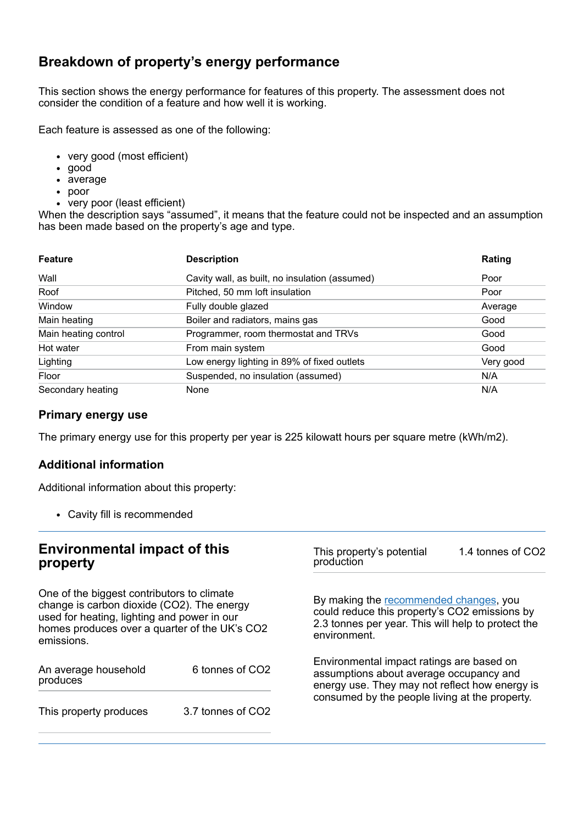## **Breakdown of property's energy performance**

This section shows the energy performance for features of this property. The assessment does not consider the condition of a feature and how well it is working.

Each feature is assessed as one of the following:

- very good (most efficient)
- good
- average
- poor
- very poor (least efficient)

When the description says "assumed", it means that the feature could not be inspected and an assumption has been made based on the property's age and type.

| <b>Feature</b>       | <b>Description</b>                             | Rating    |
|----------------------|------------------------------------------------|-----------|
| Wall                 | Cavity wall, as built, no insulation (assumed) | Poor      |
| Roof                 | Pitched, 50 mm loft insulation                 | Poor      |
| Window               | Fully double glazed                            | Average   |
| Main heating         | Boiler and radiators, mains gas                | Good      |
| Main heating control | Programmer, room thermostat and TRVs           | Good      |
| Hot water            | From main system                               | Good      |
| Lighting             | Low energy lighting in 89% of fixed outlets    | Very good |
| Floor                | Suspended, no insulation (assumed)             | N/A       |
| Secondary heating    | None                                           | N/A       |

#### **Primary energy use**

The primary energy use for this property per year is 225 kilowatt hours per square metre (kWh/m2).

### **Additional information**

Additional information about this property:

Cavity fill is recommended

### **Environmental impact of this property**

One of the biggest contributors to climate change is carbon dioxide (CO2). The energy used for heating, lighting and power in our homes produces over a quarter of the UK's CO2 emissions.

<span id="page-1-0"></span>

| An average household<br>produces | 6 tonnes of CO2   |  |
|----------------------------------|-------------------|--|
| This property produces           | 3.7 tonnes of CO2 |  |

This property's potential production 1.4 tonnes of CO2

By making the [recommended](#page-1-0) changes, you could reduce this property's CO2 emissions by 2.3 tonnes per year. This will help to protect the environment.

Environmental impact ratings are based on assumptions about average occupancy and energy use. They may not reflect how energy is consumed by the people living at the property.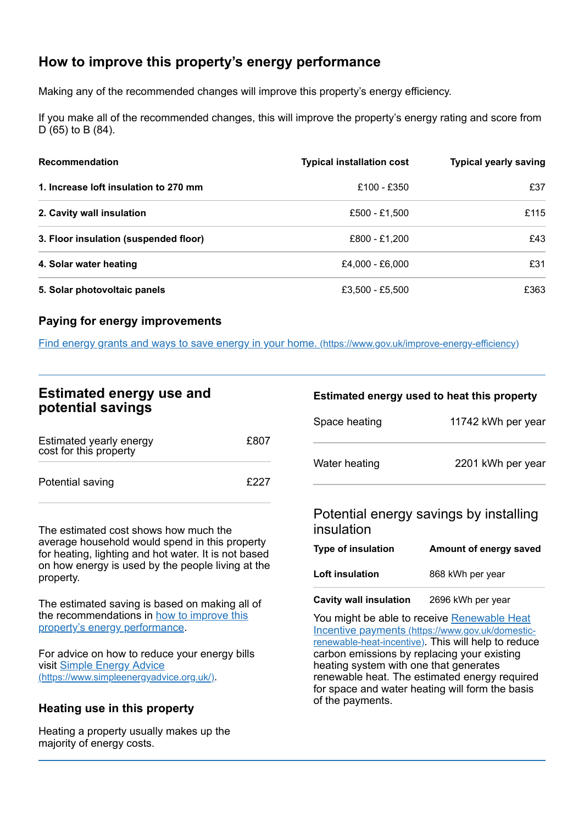# **How to improve this property's energy performance**

Making any of the recommended changes will improve this property's energy efficiency.

If you make all of the recommended changes, this will improve the property's energy rating and score from D (65) to B (84).

| <b>Recommendation</b>                 | <b>Typical installation cost</b> | <b>Typical yearly saving</b> |
|---------------------------------------|----------------------------------|------------------------------|
| 1. Increase loft insulation to 270 mm | £100 - £350                      | £37                          |
| 2. Cavity wall insulation             | £500 - £1,500                    | £115                         |
| 3. Floor insulation (suspended floor) | £800 - £1,200                    | £43                          |
| 4. Solar water heating                | £4,000 - £6,000                  | £31                          |
| 5. Solar photovoltaic panels          | £3,500 - £5,500                  | £363                         |

#### **Paying for energy improvements**

Find energy grants and ways to save energy in your home. [\(https://www.gov.uk/improve-energy-efficiency\)](https://www.gov.uk/improve-energy-efficiency)

#### **Estimated energy use and potential savings**

| Estimated yearly energy<br>cost for this property | £807 |
|---------------------------------------------------|------|
| Potential saving                                  | £227 |

The estimated cost shows how much the average household would spend in this property for heating, lighting and hot water. It is not based on how energy is used by the people living at the property.

The estimated saving is based on making all of the [recommendations](#page-1-0) in how to improve this property's energy performance.

For advice on how to reduce your energy bills visit Simple Energy Advice [\(https://www.simpleenergyadvice.org.uk/\)](https://www.simpleenergyadvice.org.uk/).

### **Heating use in this property**

Heating a property usually makes up the majority of energy costs.

#### **Estimated energy used to heat this property**

| Space heating | 11742 kWh per year |
|---------------|--------------------|
| Water heating | 2201 kWh per year  |
|               |                    |

#### Potential energy savings by installing insulation

| <b>Type of insulation</b> | Amount of energy saved |
|---------------------------|------------------------|
| Loft insulation           | 868 kWh per year       |

**Cavity wall insulation** 2696 kWh per year

You might be able to receive Renewable Heat Incentive payments [\(https://www.gov.uk/domestic](https://www.gov.uk/domestic-renewable-heat-incentive)renewable-heat-incentive). This will help to reduce carbon emissions by replacing your existing heating system with one that generates renewable heat. The estimated energy required for space and water heating will form the basis of the payments.